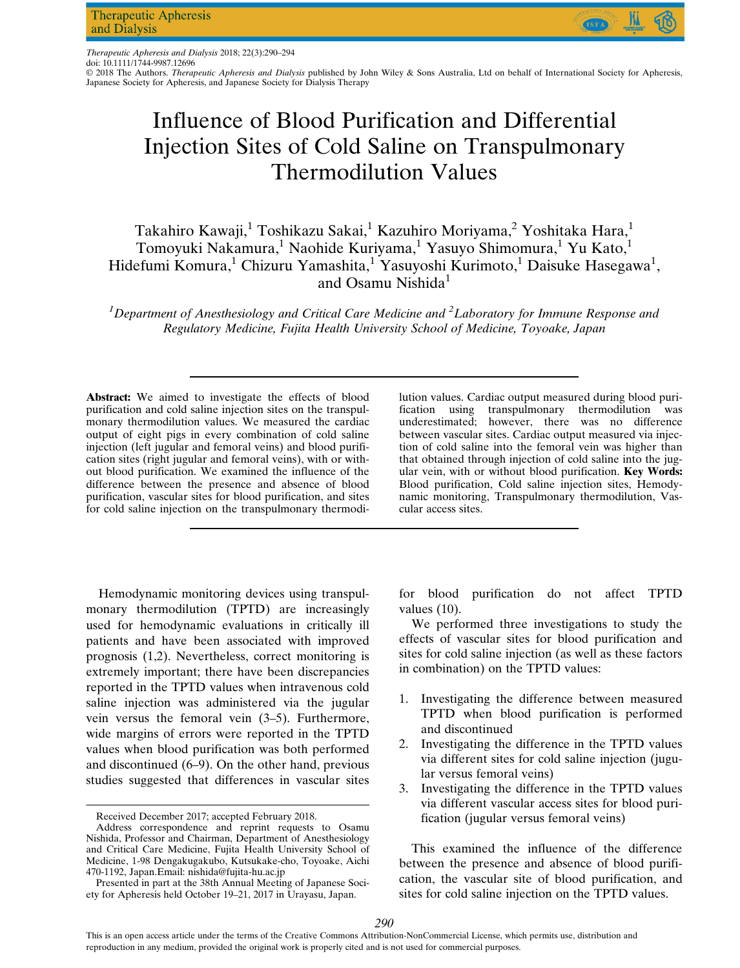Therapeutic Apheresis and Dialysis 2018; 22(3):290–294 doi: 10.1111/1744-9987.12696

© 2018 The Authors. Therapeutic Apheresis and Dialysis published by John Wiley & Sons Australia, Ltd on behalf of International Society for Apheresis, Japanese Society for Apheresis, and Japanese Society for Dialysis Therapy

# Influence of Blood Purification and Differential Injection Sites of Cold Saline on Transpulmonary Thermodilution Values

# Takahiro Kawaji,<sup>1</sup> Toshikazu Sakai,<sup>1</sup> Kazuhiro Moriyama,<sup>2</sup> Yoshitaka Hara,<sup>1</sup> Tomoyuki Nakamura,<sup>1</sup> Naohide Kuriyama,<sup>1</sup> Yasuyo Shimomura,<sup>1</sup> Yu Kato,<sup>1</sup> Hidefumi Komura,<sup>1</sup> Chizuru Yamashita,<sup>1</sup> Yasuyoshi Kurimoto,<sup>1</sup> Daisuke Hasegawa<sup>1</sup>, and Osamu Nishida<sup>1</sup>

<sup>1</sup>Department of Anesthesiology and Critical Care Medicine and <sup>2</sup>Laboratory for Immune Response and Regulatory Medicine, Fujita Health University School of Medicine, Toyoake, Japan

Abstract: We aimed to investigate the effects of blood purification and cold saline injection sites on the transpulmonary thermodilution values. We measured the cardiac output of eight pigs in every combination of cold saline injection (left jugular and femoral veins) and blood purification sites (right jugular and femoral veins), with or without blood purification. We examined the influence of the difference between the presence and absence of blood purification, vascular sites for blood purification, and sites for cold saline injection on the transpulmonary thermodi-

Hemodynamic monitoring devices using transpulmonary thermodilution (TPTD) are increasingly used for hemodynamic evaluations in critically ill patients and have been associated with improved prognosis (1,2). Nevertheless, correct monitoring is extremely important; there have been discrepancies reported in the TPTD values when intravenous cold saline injection was administered via the jugular vein versus the femoral vein (3–5). Furthermore, wide margins of errors were reported in the TPTD values when blood purification was both performed and discontinued (6–9). On the other hand, previous studies suggested that differences in vascular sites

lution values. Cardiac output measured during blood purification using transpulmonary thermodilution was underestimated; however, there was no difference between vascular sites. Cardiac output measured via injection of cold saline into the femoral vein was higher than that obtained through injection of cold saline into the jugular vein, with or without blood purification. Key Words: Blood purification, Cold saline injection sites, Hemodynamic monitoring, Transpulmonary thermodilution, Vascular access sites.

for blood purification do not affect TPTD values (10).

We performed three investigations to study the effects of vascular sites for blood purification and sites for cold saline injection (as well as these factors in combination) on the TPTD values:

- 1. Investigating the difference between measured TPTD when blood purification is performed and discontinued
- 2. Investigating the difference in the TPTD values via different sites for cold saline injection (jugular versus femoral veins)
- 3. Investigating the difference in the TPTD values via different vascular access sites for blood purification (jugular versus femoral veins)

This examined the influence of the difference between the presence and absence of blood purification, the vascular site of blood purification, and sites for cold saline injection on the TPTD values.

Received December 2017; accepted February 2018.

Address correspondence and reprint requests to Osamu Nishida, Professor and Chairman, Department of Anesthesiology and Critical Care Medicine, Fujita Health University School of Medicine, 1-98 Dengakugakubo, Kutsukake-cho, Toyoake, Aichi 470-1192, Japan.Email: [nishida@fujita-hu.ac.jp](mailto:nishida@fujita-hu.ac.jp)

Presented in part at the 38th Annual Meeting of Japanese Society for Apheresis held October 19–21, 2017 in Urayasu, Japan.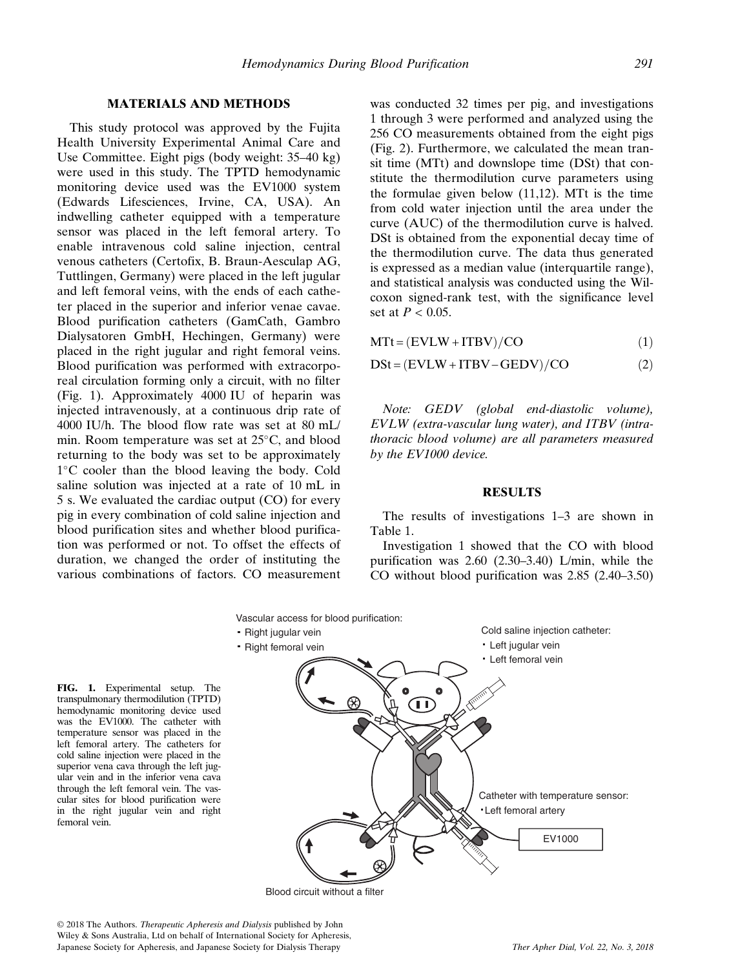## MATERIALS AND METHODS

This study protocol was approved by the Fujita Health University Experimental Animal Care and Use Committee. Eight pigs (body weight: 35–40 kg) were used in this study. The TPTD hemodynamic monitoring device used was the EV1000 system (Edwards Lifesciences, Irvine, CA, USA). An indwelling catheter equipped with a temperature sensor was placed in the left femoral artery. To enable intravenous cold saline injection, central venous catheters (Certofix, B. Braun-Aesculap AG, Tuttlingen, Germany) were placed in the left jugular and left femoral veins, with the ends of each catheter placed in the superior and inferior venae cavae. Blood purification catheters (GamCath, Gambro Dialysatoren GmbH, Hechingen, Germany) were placed in the right jugular and right femoral veins. Blood purification was performed with extracorporeal circulation forming only a circuit, with no filter (Fig. 1). Approximately 4000 IU of heparin was injected intravenously, at a continuous drip rate of 4000 IU/h. The blood flow rate was set at 80 mL/ min. Room temperature was set at  $25^{\circ}$ C, and blood returning to the body was set to be approximately  $1^{\circ}$ C cooler than the blood leaving the body. Cold saline solution was injected at a rate of 10 mL in 5 s. We evaluated the cardiac output (CO) for every pig in every combination of cold saline injection and blood purification sites and whether blood purification was performed or not. To offset the effects of duration, we changed the order of instituting the various combinations of factors. CO measurement was conducted 32 times per pig, and investigations 1 through 3 were performed and analyzed using the 256 CO measurements obtained from the eight pigs (Fig. 2). Furthermore, we calculated the mean transit time (MTt) and downslope time (DSt) that constitute the thermodilution curve parameters using the formulae given below (11,12). MTt is the time from cold water injection until the area under the curve (AUC) of the thermodilution curve is halved. DSt is obtained from the exponential decay time of the thermodilution curve. The data thus generated is expressed as a median value (interquartile range), and statistical analysis was conducted using the Wilcoxon signed-rank test, with the significance level set at  $P < 0.05$ .

 $MTt = (EVLW + ITBV)/CO$  (1)

$$
DSt = (EVLW + ITBV - GEDV) / CO
$$
 (2)

Note: GEDV (global end-diastolic volume), EVLW (extra-vascular lung water), and ITBV (intrathoracic blood volume) are all parameters measured by the EV1000 device.

#### RESULTS

The results of investigations 1–3 are shown in Table 1.

Investigation 1 showed that the CO with blood purification was 2.60 (2.30–3.40) L/min, while the CO without blood purification was 2.85 (2.40–3.50)



Blood circuit without a filter

femoral vein.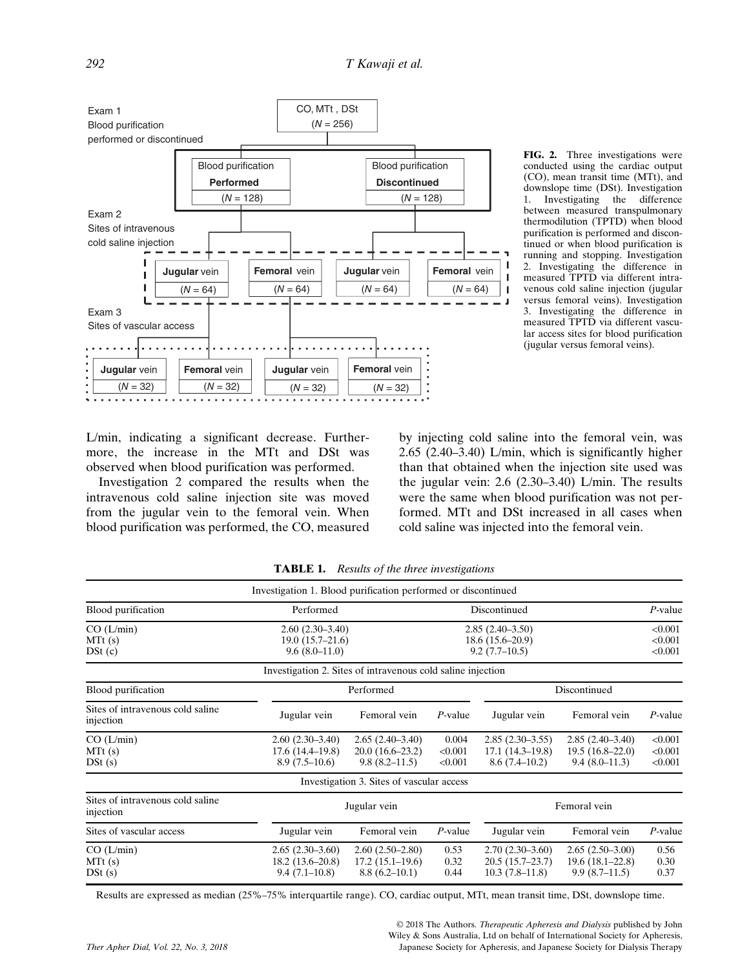

FIG. 2. Three investigations were conducted using the cardiac output (CO), mean transit time (MTt), and downslope time (DSt). Investigation<br>1. Investigating the difference 1. Investigating the difference between measured transpulmonary thermodilution (TPTD) when blood purification is performed and discontinued or when blood purification is running and stopping. Investigation 2. Investigating the difference in measured TPTD via different intravenous cold saline injection (jugular versus femoral veins). Investigation 3. Investigating the difference in measured TPTD via different vascular access sites for blood purification (jugular versus femoral veins).

L/min, indicating a significant decrease. Furthermore, the increase in the MTt and DSt was observed when blood purification was performed.

Investigation 2 compared the results when the intravenous cold saline injection site was moved from the jugular vein to the femoral vein. When blood purification was performed, the CO, measured

by injecting cold saline into the femoral vein, was 2.65 (2.40–3.40) L/min, which is significantly higher than that obtained when the injection site used was the jugular vein: 2.6 (2.30–3.40) L/min. The results were the same when blood purification was not performed. MTt and DSt increased in all cases when cold saline was injected into the femoral vein.

|                                               | Investigation 1. Blood purification performed or discontinued |                                                             |                                                           |                                                            |                                                           |                               |
|-----------------------------------------------|---------------------------------------------------------------|-------------------------------------------------------------|-----------------------------------------------------------|------------------------------------------------------------|-----------------------------------------------------------|-------------------------------|
| Blood purification                            | Performed                                                     |                                                             | Discontinued                                              |                                                            |                                                           | $P$ -value                    |
| CO (L/min)<br>MTt(s)<br>DSt(c)                | $2.60(2.30-3.40)$<br>$19.0(15.7-21.6)$<br>$9.6(8.0-11.0)$     |                                                             | $2.85(2.40-3.50)$<br>$18.6(15.6-20.9)$<br>$9.2(7.7-10.5)$ |                                                            |                                                           | < 0.001<br>< 0.001<br>< 0.001 |
|                                               | Investigation 2. Sites of intravenous cold saline injection   |                                                             |                                                           |                                                            |                                                           |                               |
| Blood purification                            | Performed                                                     |                                                             |                                                           | Discontinued                                               |                                                           |                               |
| Sites of intravenous cold saline<br>injection | Jugular vein                                                  | Femoral vein                                                | $P$ -value                                                | Jugular vein                                               | Femoral vein                                              | P-value                       |
| CO(L/min)<br>MTt(s)<br>DSt(s)                 | $2.60(2.30-3.40)$<br>$17.6(14.4-19.8)$<br>$8.9(7.5-10.6)$     | $2.65(2.40-3.40)$<br>$20.0(16.6-23.2)$<br>$9.8(8.2-11.5)$   | 0.004<br>< 0.001<br>< 0.001                               | $2.85(2.30-3.55)$<br>$17.1(14.3-19.8)$<br>$8.6(7.4-10.2)$  | $2.85(2.40-3.40)$<br>$19.5(16.8-22.0)$<br>$9.4(8.0-11.3)$ | < 0.001<br>< 0.001<br>< 0.001 |
|                                               |                                                               | Investigation 3. Sites of vascular access                   |                                                           |                                                            |                                                           |                               |
| Sites of intravenous cold saline<br>injection | Jugular vein                                                  |                                                             |                                                           | Femoral vein                                               |                                                           |                               |
| Sites of vascular access                      | Jugular vein                                                  | Femoral vein                                                | $P$ -value                                                | Jugular vein                                               | Femoral vein                                              | $P$ -value                    |
| CO(L/min)<br>MTt(s)<br>DSt(s)                 | $2.65(2.30-3.60)$<br>$18.2(13.6-20.8)$<br>$9.4(7.1-10.8)$     | $2.60(2.50-2.80)$<br>$17.2(15.1 - 19.6)$<br>$8.8(6.2-10.1)$ | 0.53<br>0.32<br>0.44                                      | $2.70(2.30-3.60)$<br>$20.5(15.7-23.7)$<br>$10.3(7.8-11.8)$ | $2.65(2.50-3.00)$<br>19.6(18.1–22.8)<br>$9.9(8.7-11.5)$   | 0.56<br>0.30<br>0.37          |

TABLE 1. Results of the three investigations

Results are expressed as median (25%–75% interquartile range). CO, cardiac output, MTt, mean transit time, DSt, downslope time.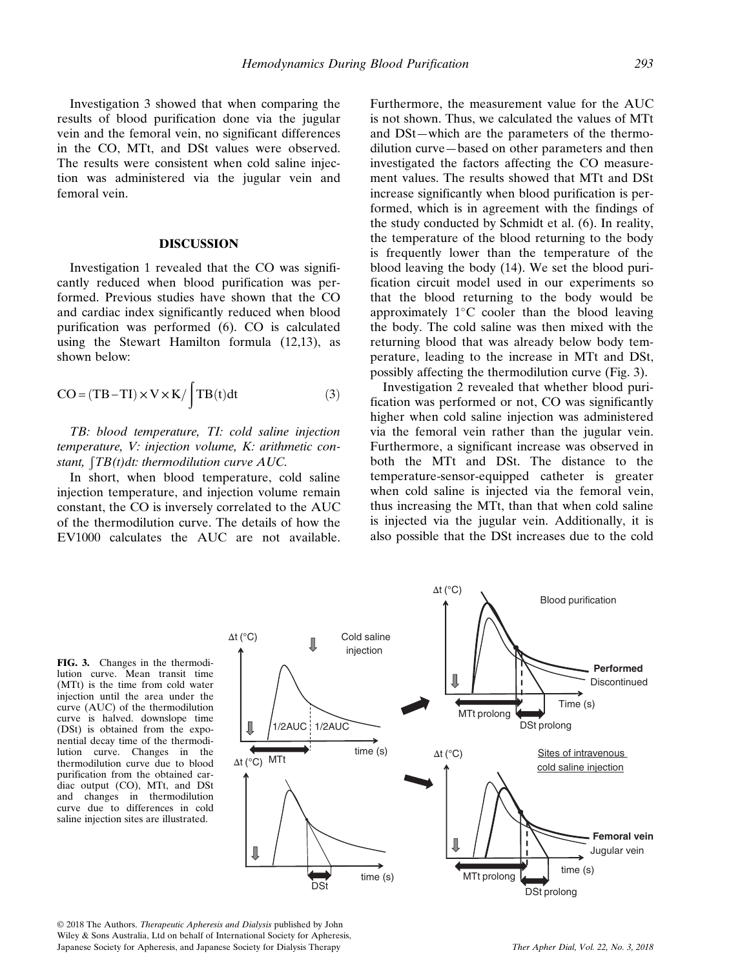Investigation 3 showed that when comparing the results of blood purification done via the jugular vein and the femoral vein, no significant differences in the CO, MTt, and DSt values were observed. The results were consistent when cold saline injection was administered via the jugular vein and femoral vein.

#### DISCUSSION

Investigation 1 revealed that the CO was significantly reduced when blood purification was performed. Previous studies have shown that the CO and cardiac index significantly reduced when blood purification was performed (6). CO is calculated using the Stewart Hamilton formula (12,13), as shown below:

$$
CO = (TB - TI) \times V \times K / \int TB(t) dt
$$
 (3)

TB: blood temperature, TI: cold saline injection temperature, V: injection volume, K: arithmetic constant,  $\int T B(t) dt$ : thermodilution curve AUC.

In short, when blood temperature, cold saline injection temperature, and injection volume remain constant, the CO is inversely correlated to the AUC of the thermodilution curve. The details of how the EV1000 calculates the AUC are not available.

Furthermore, the measurement value for the AUC is not shown. Thus, we calculated the values of MTt and DSt—which are the parameters of the thermodilution curve—based on other parameters and then investigated the factors affecting the CO measurement values. The results showed that MTt and DSt increase significantly when blood purification is performed, which is in agreement with the findings of the study conducted by Schmidt et al. (6). In reality, the temperature of the blood returning to the body is frequently lower than the temperature of the blood leaving the body (14). We set the blood purification circuit model used in our experiments so that the blood returning to the body would be approximately  $1^{\circ}$ C cooler than the blood leaving the body. The cold saline was then mixed with the returning blood that was already below body temperature, leading to the increase in MTt and DSt, possibly affecting the thermodilution curve (Fig. 3).

Investigation 2 revealed that whether blood purification was performed or not, CO was significantly higher when cold saline injection was administered via the femoral vein rather than the jugular vein. Furthermore, a significant increase was observed in both the MTt and DSt. The distance to the temperature-sensor-equipped catheter is greater when cold saline is injected via the femoral vein, thus increasing the MTt, than that when cold saline is injected via the jugular vein. Additionally, it is also possible that the DSt increases due to the cold

FIG. 3. Changes in the thermodilution curve. Mean transit time (MTt) is the time from cold water injection until the area under the curve (AUC) of the thermodilution curve is halved. downslope time (DSt) is obtained from the exponential decay time of the thermodilution curve. Changes in the thermodilution curve due to blood purification from the obtained cardiac output (CO), MTt, and DSt and changes in thermodilution curve due to differences in cold saline injection sites are illustrated.